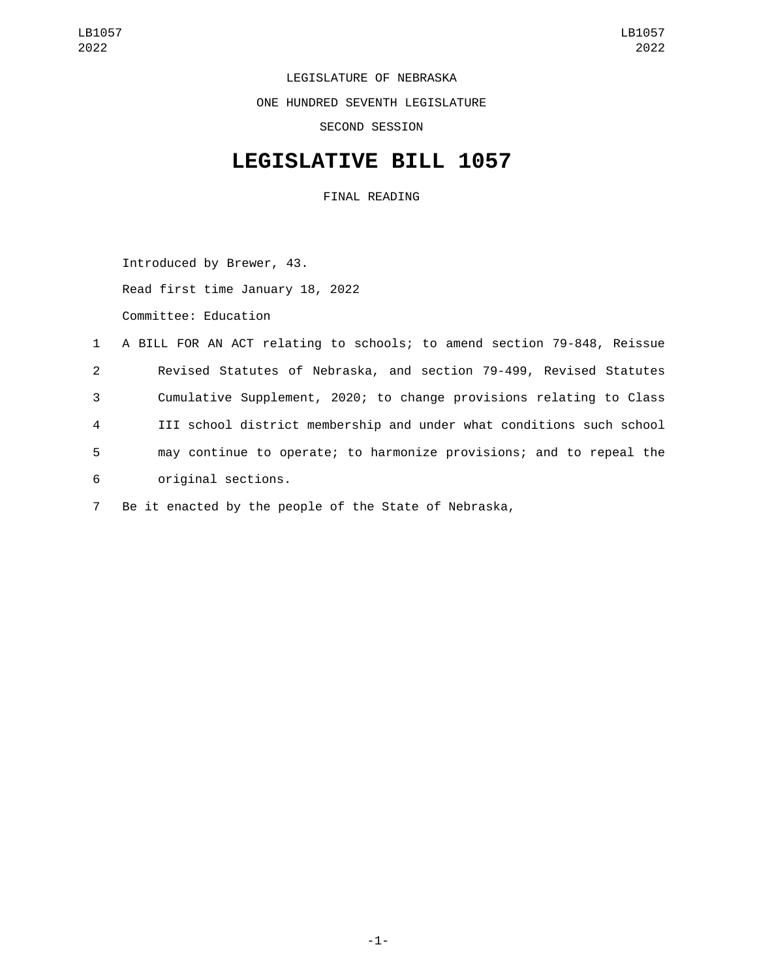LEGISLATURE OF NEBRASKA ONE HUNDRED SEVENTH LEGISLATURE SECOND SESSION

## **LEGISLATIVE BILL 1057**

FINAL READING

Introduced by Brewer, 43. Read first time January 18, 2022 Committee: Education

 A BILL FOR AN ACT relating to schools; to amend section 79-848, Reissue Revised Statutes of Nebraska, and section 79-499, Revised Statutes Cumulative Supplement, 2020; to change provisions relating to Class III school district membership and under what conditions such school may continue to operate; to harmonize provisions; and to repeal the original sections.6

7 Be it enacted by the people of the State of Nebraska,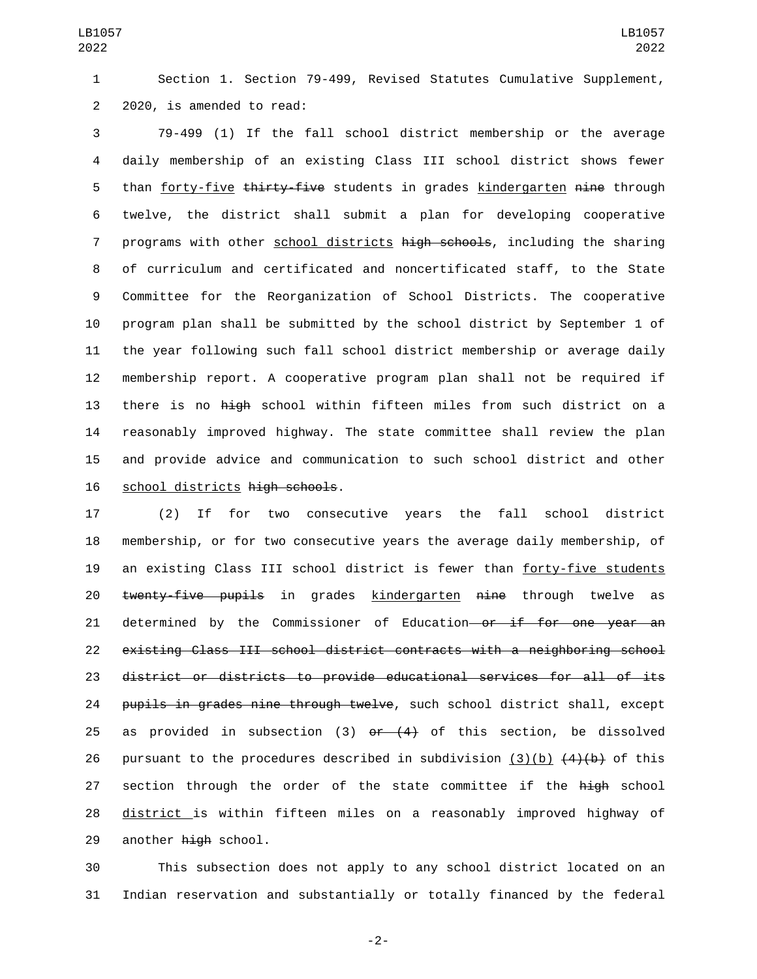1 Section 1. Section 79-499, Revised Statutes Cumulative Supplement, 2 2020, is amended to read:

 79-499 (1) If the fall school district membership or the average daily membership of an existing Class III school district shows fewer 5 than forty-five thirty-five students in grades kindergarten nine through twelve, the district shall submit a plan for developing cooperative 7 programs with other school districts high schools, including the sharing of curriculum and certificated and noncertificated staff, to the State Committee for the Reorganization of School Districts. The cooperative program plan shall be submitted by the school district by September 1 of the year following such fall school district membership or average daily membership report. A cooperative program plan shall not be required if 13 there is no high school within fifteen miles from such district on a reasonably improved highway. The state committee shall review the plan and provide advice and communication to such school district and other 16 school districts high schools.

17 (2) If for two consecutive years the fall school district 18 membership, or for two consecutive years the average daily membership, of 19 an existing Class III school district is fewer than forty-five students 20 twenty-five pupils in grades kindergarten nine through twelve as 21 determined by the Commissioner of Education or if for one year an 22 existing Class III school district contracts with a neighboring school 23 district or districts to provide educational services for all of its 24 pupils in grades nine through twelve, such school district shall, except 25 as provided in subsection (3)  $\theta$ r (4) of this section, be dissolved 26 pursuant to the procedures described in subdivision  $(3)(b)$   $(4)(b)$  of this 27 section through the order of the state committee if the high school 28 district is within fifteen miles on a reasonably improved highway of 29 another high school.

30 This subsection does not apply to any school district located on an 31 Indian reservation and substantially or totally financed by the federal

-2-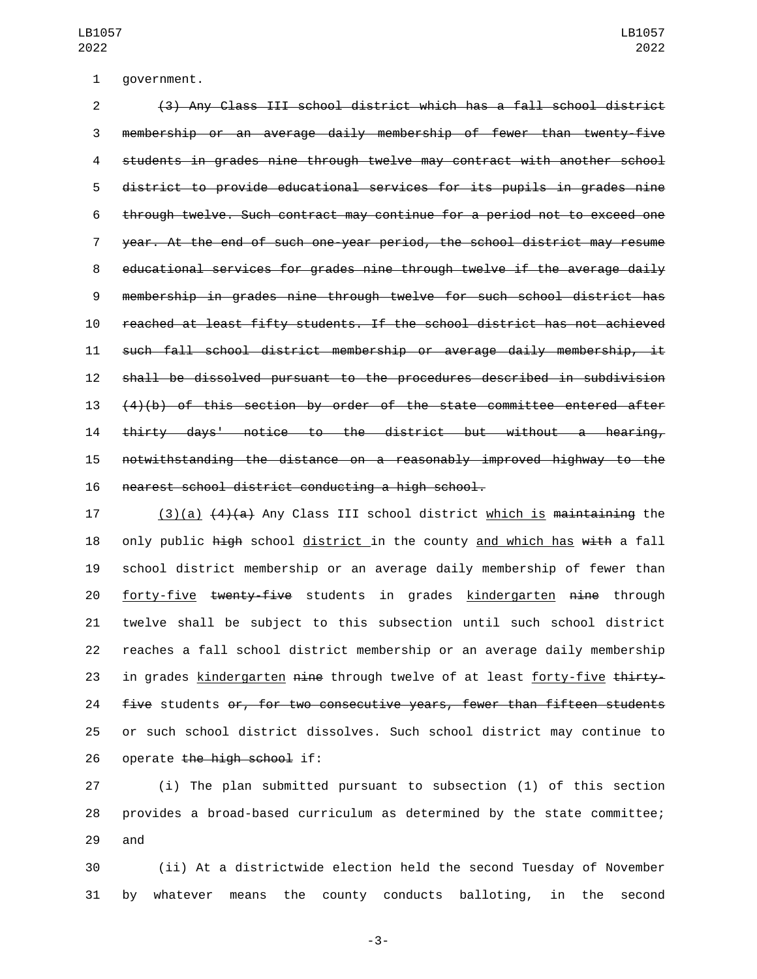1 government.

 (3) Any Class III school district which has a fall school district membership or an average daily membership of fewer than twenty-five students in grades nine through twelve may contract with another school district to provide educational services for its pupils in grades nine through twelve. Such contract may continue for a period not to exceed one year. At the end of such one-year period, the school district may resume educational services for grades nine through twelve if the average daily membership in grades nine through twelve for such school district has reached at least fifty students. If the school district has not achieved such fall school district membership or average daily membership, it shall be dissolved pursuant to the procedures described in subdivision  $(4)(b)$  of this section by order of the state committee entered after thirty days' notice to the district but without a hearing, notwithstanding the distance on a reasonably improved highway to the 16 nearest school district conducting a high school.

17 (3)(a)  $(4)(a)$  Any Class III school district which is maintaining the 18 only public high school district in the county and which has  $w$ ith a fall school district membership or an average daily membership of fewer than 20 forty-five twenty-five students in grades kindergarten nine through twelve shall be subject to this subsection until such school district reaches a fall school district membership or an average daily membership 23 in grades kindergarten nine through twelve of at least forty-five thirty-**five** students or, for two consecutive years, fewer than fifteen students or such school district dissolves. Such school district may continue to 26 operate the high school if:

 (i) The plan submitted pursuant to subsection (1) of this section provides a broad-based curriculum as determined by the state committee; 29 and

 (ii) At a districtwide election held the second Tuesday of November by whatever means the county conducts balloting, in the second

-3-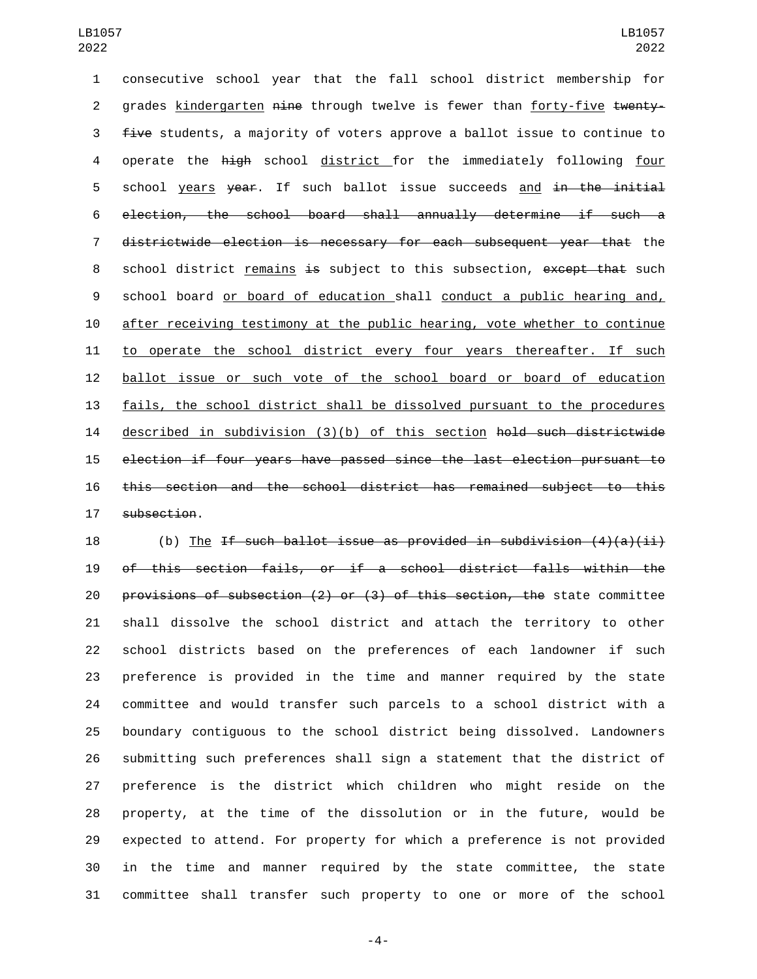consecutive school year that the fall school district membership for 2 grades kindergarten nine through twelve is fewer than forty-five twenty-3 five students, a majority of voters approve a ballot issue to continue to 4 operate the high school district for the immediately following four 5 school years year. If such ballot issue succeeds and in the initial election, the school board shall annually determine if such a districtwide election is necessary for each subsequent year that the 8 school district remains is subject to this subsection, except that such school board or board of education shall conduct a public hearing and, after receiving testimony at the public hearing, vote whether to continue 11 to operate the school district every four years thereafter. If such ballot issue or such vote of the school board or board of education fails, the school district shall be dissolved pursuant to the procedures described in subdivision (3)(b) of this section hold such districtwide election if four years have passed since the last election pursuant to this section and the school district has remained subject to this 17 subsection.

18 (b) The If such ballot issue as provided in subdivision  $(4)(a)(ii)$  of this section fails, or if a school district falls within the provisions of subsection (2) or (3) of this section, the state committee shall dissolve the school district and attach the territory to other school districts based on the preferences of each landowner if such preference is provided in the time and manner required by the state committee and would transfer such parcels to a school district with a boundary contiguous to the school district being dissolved. Landowners submitting such preferences shall sign a statement that the district of preference is the district which children who might reside on the property, at the time of the dissolution or in the future, would be expected to attend. For property for which a preference is not provided in the time and manner required by the state committee, the state committee shall transfer such property to one or more of the school

-4-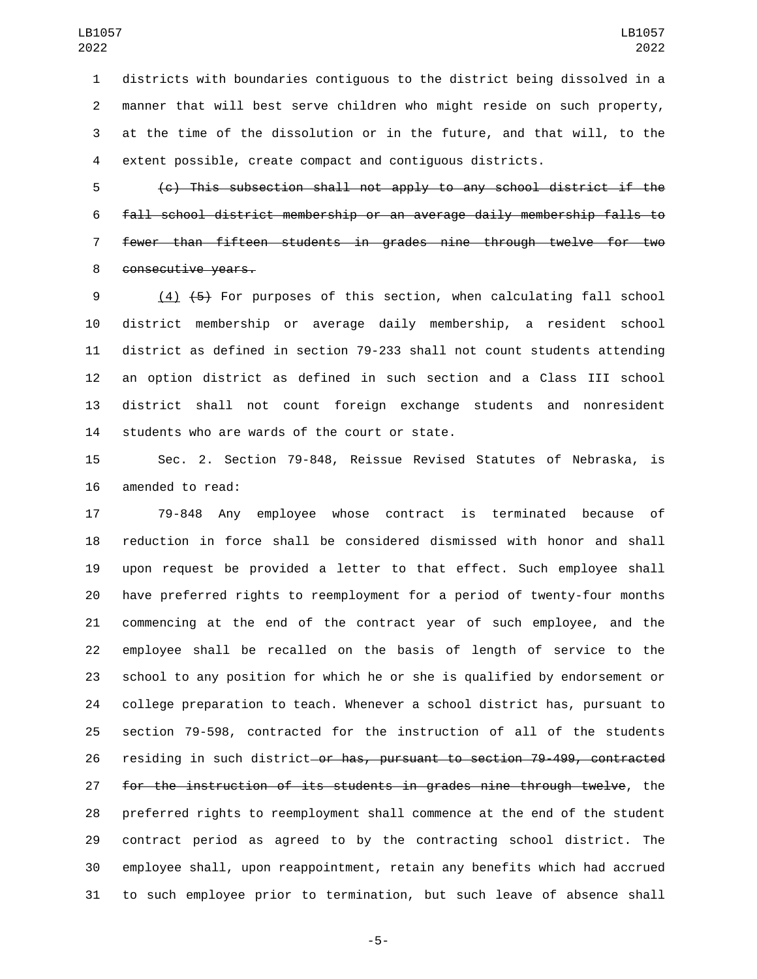districts with boundaries contiguous to the district being dissolved in a manner that will best serve children who might reside on such property, at the time of the dissolution or in the future, and that will, to the extent possible, create compact and contiguous districts.

 (c) This subsection shall not apply to any school district if the fall school district membership or an average daily membership falls to fewer than fifteen students in grades nine through twelve for two 8 consecutive years.

 (4) (5) For purposes of this section, when calculating fall school district membership or average daily membership, a resident school district as defined in section 79-233 shall not count students attending an option district as defined in such section and a Class III school district shall not count foreign exchange students and nonresident 14 students who are wards of the court or state.

 Sec. 2. Section 79-848, Reissue Revised Statutes of Nebraska, is 16 amended to read:

 79-848 Any employee whose contract is terminated because of reduction in force shall be considered dismissed with honor and shall upon request be provided a letter to that effect. Such employee shall have preferred rights to reemployment for a period of twenty-four months commencing at the end of the contract year of such employee, and the employee shall be recalled on the basis of length of service to the school to any position for which he or she is qualified by endorsement or college preparation to teach. Whenever a school district has, pursuant to section 79-598, contracted for the instruction of all of the students residing in such district or has, pursuant to section 79-499, contracted for the instruction of its students in grades nine through twelve, the preferred rights to reemployment shall commence at the end of the student contract period as agreed to by the contracting school district. The employee shall, upon reappointment, retain any benefits which had accrued to such employee prior to termination, but such leave of absence shall

-5-